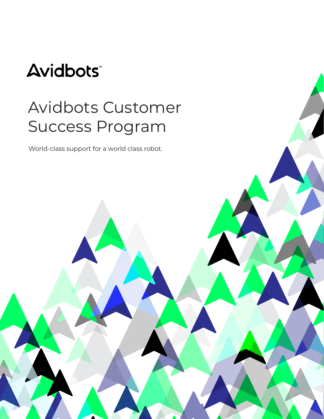# **Avidbots**

# Avidbots Customer Success Program Avidbots Customer AVIUDULS CUSLU World class support for a world class robot

World-class support for a world class robot.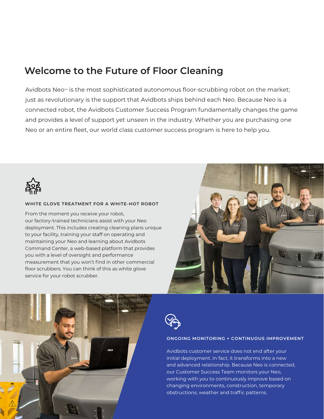# **Welcome to the Future of Floor Cleaning**

Avidbots Neo™ is the most sophisticated autonomous floor-scrubbing robot on the market; just as revolutionary is the support that Avidbots ships behind each Neo. Because Neo is a connected robot, the Avidbots Customer Success Program fundamentally changes the game and provides a level of support yet unseen in the industry. Whether you are purchasing one Neo or an entire fleet, our world class customer success program is here to help you.



#### **WHITE GLOVE TREATMENT FOR A WHITE-HOT ROBOT**

From the moment you receive your robot, our factory-trained technicians assist with your Neo deployment. This includes creating cleaning plans unique to your facility, training your staff on operating and maintaining your Neo and learning about Avidbots Command Center, a web-based platform that provides you with a level of oversight and performance measurement that you won't find in other commercial floor scrubbers. You can think of this as white glove service for your robot scrubber.







#### **ONGOING MONITORING + CONTINUOUS IMPROVEMENT**

Avidbots customer service does not end after your initial deployment. In fact, it transforms into a new and advanced relationship. Because Neo is connected, our Customer Success Team monitors your Neo, working with you to continuously improve based on changing environments, construction, temporary obstructions, weather and traffic patterns.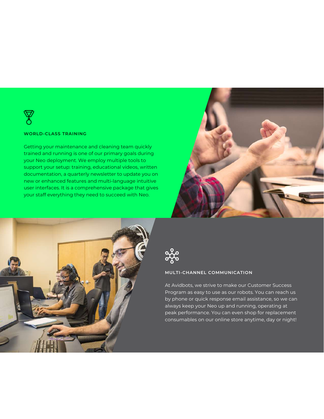

#### **WORLD-CLASS TRAINING**

Getting your maintenance and cleaning team quickly trained and running is one of our primary goals during your Neo deployment. We employ multiple tools to support your setup: training, educational videos, written documentation, a quarterly newsletter to update you on new or enhanced features and multi-language intuitive user interfaces. It is a comprehensive package that gives your staff everything they need to succeed with Neo.







#### **MULTI-CHANNEL COMMUNICATION**

At Avidbots, we strive to make our Customer Success Program as easy to use as our robots. You can reach us by phone or quick response email assistance, so we can always keep your Neo up and running, operating at peak performance. You can even shop for replacement consumables on our online store anytime, day or night!